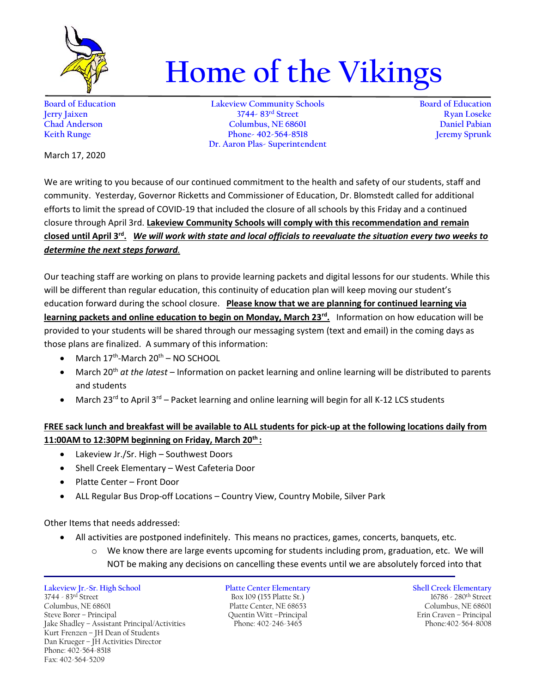

## **Home of the Vikings**

**Board of Education Lakeview Community Schools Board of Education Jerry Jaixen 3744- 83rd Street Ryan Loseke Chad Anderson Columbus, NE 68601 Daniel Pabian Keith Runge Phone- 402-564-8518 Jeremy Sprunk Dr. Aaron Plas- Superintendent**

March 17, 2020

We are writing to you because of our continued commitment to the health and safety of our students, staff and community. Yesterday, Governor Ricketts and Commissioner of Education, Dr. Blomstedt called for additional efforts to limit the spread of COVID-19 that included the closure of all schools by this Friday and a continued closure through April 3rd. **Lakeview Community Schools will comply with this recommendation and remain closed until April 3rd .** *We will work with state and local officials to reevaluate the situation every two weeks to determine the next steps forward.*

Our teaching staff are working on plans to provide learning packets and digital lessons for our students. While this will be different than regular education, this continuity of education plan will keep moving our student's education forward during the school closure. **Please know that we are planning for continued learning via learning packets and online education to begin on Monday, March 23rd .** Information on how education will be provided to your students will be shared through our messaging system (text and email) in the coming days as those plans are finalized. A summary of this information:

- $\bullet$  March 17<sup>th</sup>-March 20<sup>th</sup> NO SCHOOL
- March 20th *at the latest* Information on packet learning and online learning will be distributed to parents and students
- March 23<sup>rd</sup> to April 3<sup>rd</sup> Packet learning and online learning will begin for all K-12 LCS students

## **FREE sack lunch and breakfast will be available to ALL students for pick-up at the following locations daily from 11:00AM to 12:30PM beginning on Friday, March 20th :**

- Lakeview Jr./Sr. High Southwest Doors
- Shell Creek Elementary West Cafeteria Door
- Platte Center Front Door
- ALL Regular Bus Drop-off Locations Country View, Country Mobile, Silver Park

Other Items that needs addressed:

- All activities are postponed indefinitely. This means no practices, games, concerts, banquets, etc.
	- We know there are large events upcoming for students including prom, graduation, etc. We will NOT be making any decisions on cancelling these events until we are absolutely forced into that

**Lakeview Jr.-Sr. High School Platte Center Elementary Shell Creek Elementary** 3744 - 83rd Street Box 109 (155 Platte St.) 16786 - 280th Street Columbus, NE 68601 Platte Center, NE 68653 Columbus, NE 68601 Platte Center, NE 68653 Columbus, NE 68601<br>Columbus, NE 68601 Cuentin Witt – Principal Principal Erin Craven – Principal Jake Shadley - Assistant Principal/Activities Kurt Frenzen – JH Dean of Students Dan Krueger – JH Activities Director Phone: 402-564-8518 Fax: 402-564-5209

Steve Borer – Principal Quentin Witt –Principal Erin Craven – Principal